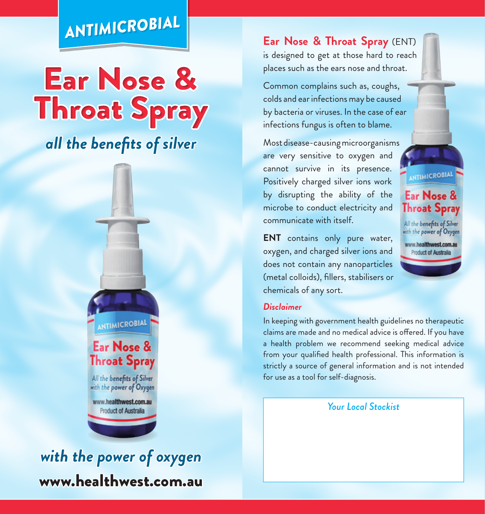## *ANTIMICROBIAL ANTIMICROBIAL*

# **Ear Nose & Throat Spray**

*all the benefits of silver*



#### www.healthwest.com.au *with the power of oxygen*

**Ear Nose & Throat Spray** (ENT) is designed to get at those hard to reach places such as the ears nose and throat.

Common complains such as, coughs, colds and ear infections may be caused by bacteria or viruses. In the case of ear infections fungus is often to blame.

Most disease-causing microorganisms are very sensitive to oxygen and cannot survive in its presence. Positively charged silver ions work by disrupting the ability of the microbe to conduct electricity and communicate with itself.

**ENT** contains only pure water, oxygen, and charged silver ions and does not contain any nanoparticles (metal colloids), fillers, stabilisers or chemicals of any sort.

#### *Disclaimer*

In keeping with government health guidelines no therapeutic claims are made and no medical advice is ofered. If you have a health problem we recommend seeking medical advice from your qualified health professional. This information is strictly a source of general information and is not intended for use as a tool for self-diagnosis.

**ANTIMICROBIAL** 

Ear Nose & **Throat Spray** All the benefits of Silver with the power of Oxygen www.healthwest.com.au **Product of Australia** 

*Your Local Stockist*